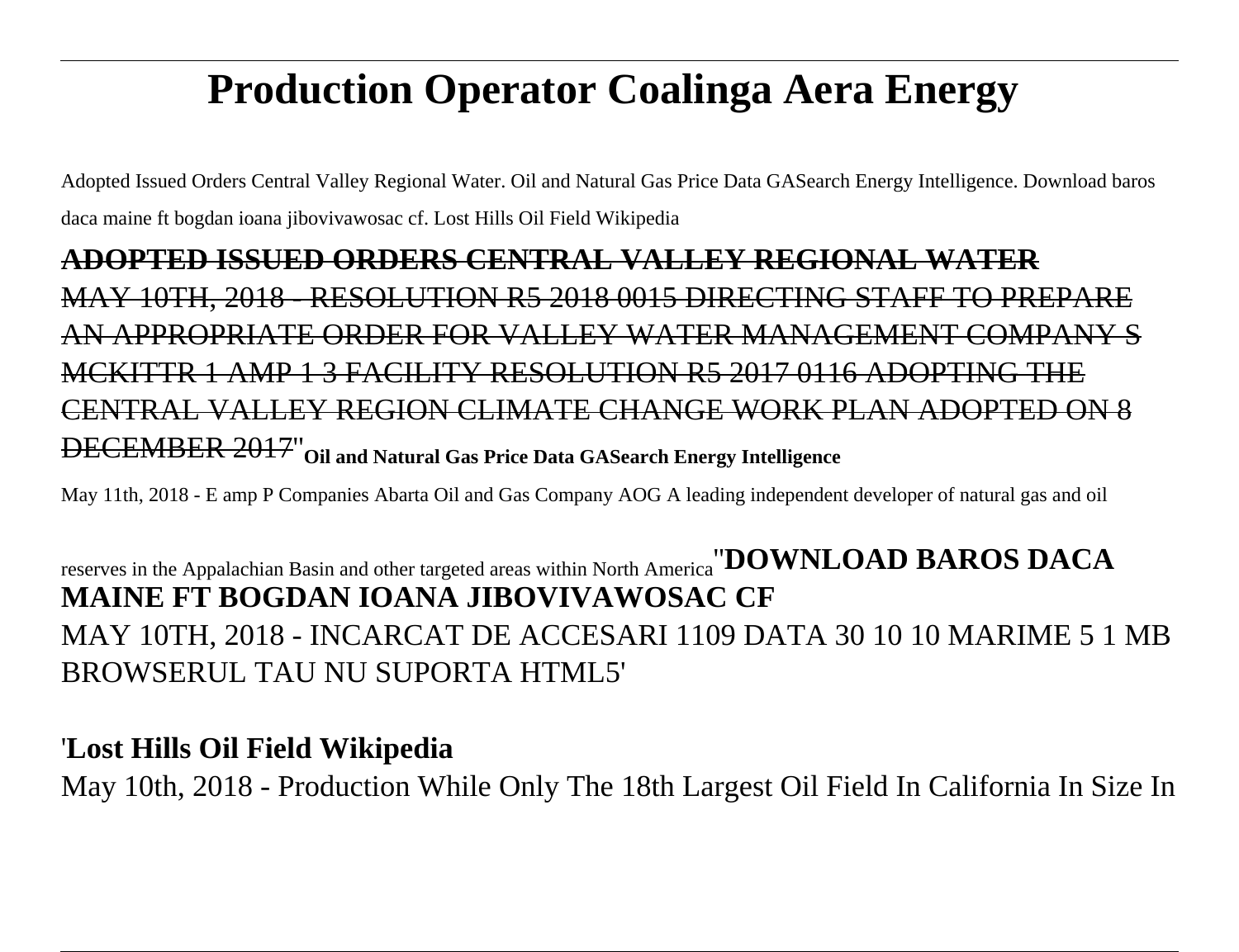## **Production Operator Coalinga Aera Energy**

Adopted Issued Orders Central Valley Regional Water. Oil and Natural Gas Price Data GASearch Energy Intelligence. Download baros daca maine ft bogdan ioana jibovivawosac cf. Lost Hills Oil Field Wikipedia

## **ADOPTED ISSUED ORDERS CENTRAL VALLEY REGIONAL WATER** MAY 10TH, 2018 - RESOLUTION R5 2018 0015 DIRECTING STAFF TO PREPARE AN APPROPRIATE ORDER FOR VALLEY WATER MANAGEMENT COMPANY S MCKITTR 1 AMP 1 3 FACILITY RESOLUTION R5 2017 0116 ADOPTING THE CENTRAL VALLEY REGION CLIMATE CHANGE WORK PLAN ADOPTED ON 8 DECEMBER 2017''**Oil and Natural Gas Price Data GASearch Energy Intelligence**

May 11th, 2018 - E amp P Companies Abarta Oil and Gas Company AOG A leading independent developer of natural gas and oil

## reserves in the Appalachian Basin and other targeted areas within North America''**DOWNLOAD BAROS DACA MAINE FT BOGDAN IOANA JIBOVIVAWOSAC CF** MAY 10TH, 2018 - INCARCAT DE ACCESARI 1109 DATA 30 10 10 MARIME 5 1 MB BROWSERUL TAU NU SUPORTA HTML5'

## '**Lost Hills Oil Field Wikipedia**

May 10th, 2018 - Production While Only The 18th Largest Oil Field In California In Size In